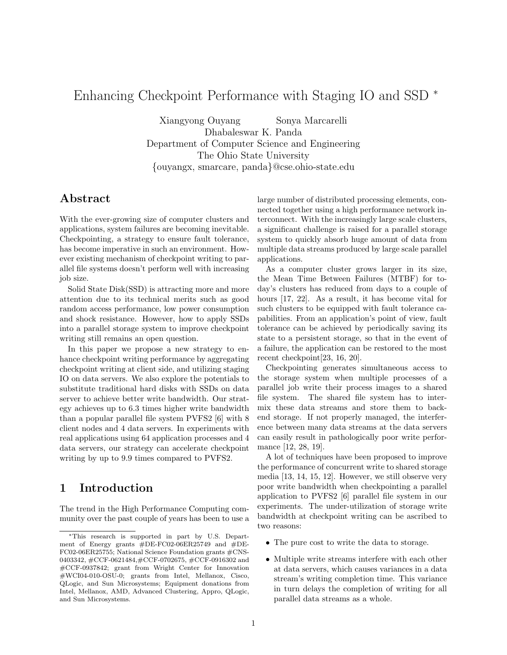# Enhancing Checkpoint Performance with Staging IO and SSD <sup>∗</sup>

Xiangyong Ouyang Sonya Marcarelli Dhabaleswar K. Panda Department of Computer Science and Engineering The Ohio State University {ouyangx, smarcare, panda}@cse.ohio-state.edu

## Abstract

With the ever-growing size of computer clusters and applications, system failures are becoming inevitable. Checkpointing, a strategy to ensure fault tolerance, has become imperative in such an environment. However existing mechanism of checkpoint writing to parallel file systems doesn't perform well with increasing job size.

Solid State Disk(SSD) is attracting more and more attention due to its technical merits such as good random access performance, low power consumption and shock resistance. However, how to apply SSDs into a parallel storage system to improve checkpoint writing still remains an open question.

In this paper we propose a new strategy to enhance checkpoint writing performance by aggregating checkpoint writing at client side, and utilizing staging IO on data servers. We also explore the potentials to substitute traditional hard disks with SSDs on data server to achieve better write bandwidth. Our strategy achieves up to 6.3 times higher write bandwidth than a popular parallel file system PVFS2 [6] with 8 client nodes and 4 data servers. In experiments with real applications using 64 application processes and 4 data servers, our strategy can accelerate checkpoint writing by up to 9.9 times compared to PVFS2.

# 1 Introduction

The trend in the High Performance Computing community over the past couple of years has been to use a large number of distributed processing elements, connected together using a high performance network interconnect. With the increasingly large scale clusters, a significant challenge is raised for a parallel storage system to quickly absorb huge amount of data from multiple data streams produced by large scale parallel applications.

As a computer cluster grows larger in its size, the Mean Time Between Failures (MTBF) for today's clusters has reduced from days to a couple of hours [17, 22]. As a result, it has become vital for such clusters to be equipped with fault tolerance capabilities. From an application's point of view, fault tolerance can be achieved by periodically saving its state to a persistent storage, so that in the event of a failure, the application can be restored to the most recent checkpoint[23, 16, 20].

Checkpointing generates simultaneous access to the storage system when multiple processes of a parallel job write their process images to a shared file system. The shared file system has to intermix these data streams and store them to backend storage. If not properly managed, the interference between many data streams at the data servers can easily result in pathologically poor write performance [12, 28, 19].

A lot of techniques have been proposed to improve the performance of concurrent write to shared storage media [13, 14, 15, 12]. However, we still observe very poor write bandwidth when checkpointing a parallel application to PVFS2 [6] parallel file system in our experiments. The under-utilization of storage write bandwidth at checkpoint writing can be ascribed to two reasons:

- The pure cost to write the data to storage.
- Multiple write streams interfere with each other at data servers, which causes variances in a data stream's writing completion time. This variance in turn delays the completion of writing for all parallel data streams as a whole.

<sup>∗</sup>This research is supported in part by U.S. Department of Energy grants #DE-FC02-06ER25749 and #DE-FC02-06ER25755; National Science Foundation grants #CNS-0403342, #CCF-0621484,#CCF-0702675, #CCF-0916302 and #CCF-0937842; grant from Wright Center for Innovation #WCI04-010-OSU-0; grants from Intel, Mellanox, Cisco, QLogic, and Sun Microsystems; Equipment donations from Intel, Mellanox, AMD, Advanced Clustering, Appro, QLogic, and Sun Microsystems.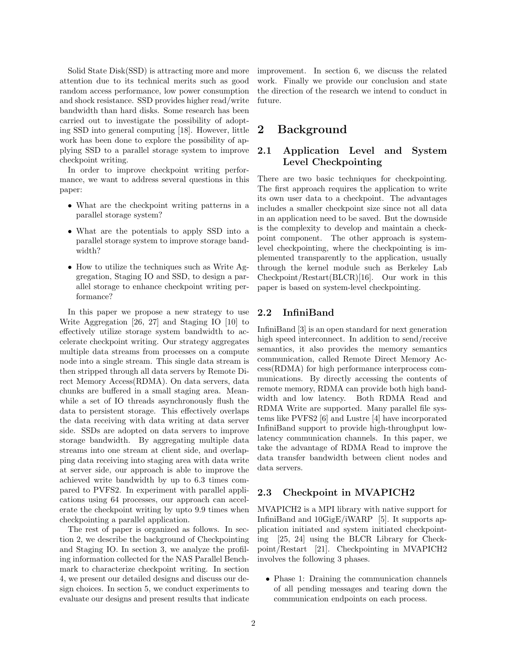Solid State Disk(SSD) is attracting more and more attention due to its technical merits such as good random access performance, low power consumption and shock resistance. SSD provides higher read/write bandwidth than hard disks. Some research has been carried out to investigate the possibility of adopting SSD into general computing [18]. However, little work has been done to explore the possibility of applying SSD to a parallel storage system to improve checkpoint writing.

In order to improve checkpoint writing performance, we want to address several questions in this paper:

- What are the checkpoint writing patterns in a parallel storage system?
- What are the potentials to apply SSD into a parallel storage system to improve storage bandwidth?
- How to utilize the techniques such as Write Aggregation, Staging IO and SSD, to design a parallel storage to enhance checkpoint writing performance?

In this paper we propose a new strategy to use Write Aggregation [26, 27] and Staging IO [10] to effectively utilize storage system bandwidth to accelerate checkpoint writing. Our strategy aggregates multiple data streams from processes on a compute node into a single stream. This single data stream is then stripped through all data servers by Remote Direct Memory Access(RDMA). On data servers, data chunks are buffered in a small staging area. Meanwhile a set of IO threads asynchronously flush the data to persistent storage. This effectively overlaps the data receiving with data writing at data server side. SSDs are adopted on data servers to improve storage bandwidth. By aggregating multiple data streams into one stream at client side, and overlapping data receiving into staging area with data write at server side, our approach is able to improve the achieved write bandwidth by up to 6.3 times compared to PVFS2. In experiment with parallel applications using 64 processes, our approach can accelerate the checkpoint writing by upto 9.9 times when checkpointing a parallel application.

The rest of paper is organized as follows. In section 2, we describe the background of Checkpointing and Staging IO. In section 3, we analyze the profiling information collected for the NAS Parallel Benchmark to characterize checkpoint writing. In section 4, we present our detailed designs and discuss our design choices. In section 5, we conduct experiments to evaluate our designs and present results that indicate improvement. In section 6, we discuss the related work. Finally we provide our conclusion and state the direction of the research we intend to conduct in future.

# 2 Background

### 2.1 Application Level and System Level Checkpointing

There are two basic techniques for checkpointing. The first approach requires the application to write its own user data to a checkpoint. The advantages includes a smaller checkpoint size since not all data in an application need to be saved. But the downside is the complexity to develop and maintain a checkpoint component. The other approach is systemlevel checkpointing, where the checkpointing is implemented transparently to the application, usually through the kernel module such as Berkeley Lab Checkpoint/Restart(BLCR)[16]. Our work in this paper is based on system-level checkpointing.

#### 2.2 InfiniBand

InfiniBand [3] is an open standard for next generation high speed interconnect. In addition to send/receive semantics, it also provides the memory semantics communication, called Remote Direct Memory Access(RDMA) for high performance interprocess communications. By directly accessing the contents of remote memory, RDMA can provide both high bandwidth and low latency. Both RDMA Read and RDMA Write are supported. Many parallel file systems like PVFS2 [6] and Lustre [4] have incorporated InfiniBand support to provide high-throughput lowlatency communication channels. In this paper, we take the advantage of RDMA Read to improve the data transfer bandwidth between client nodes and data servers.

#### 2.3 Checkpoint in MVAPICH2

MVAPICH2 is a MPI library with native support for InfiniBand and 10GigE/iWARP [5]. It supports application initiated and system initiated checkpointing [25, 24] using the BLCR Library for Checkpoint/Restart [21]. Checkpointing in MVAPICH2 involves the following 3 phases.

• Phase 1: Draining the communication channels of all pending messages and tearing down the communication endpoints on each process.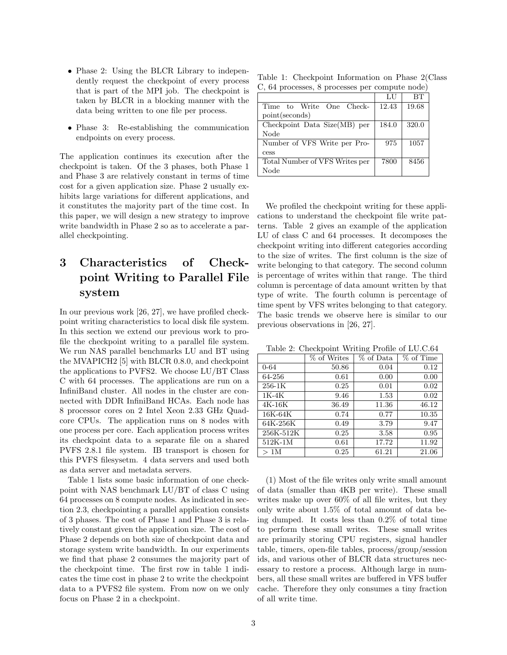- Phase 2: Using the BLCR Library to independently request the checkpoint of every process that is part of the MPI job. The checkpoint is taken by BLCR in a blocking manner with the data being written to one file per process.
- Phase 3: Re-establishing the communication endpoints on every process.

The application continues its execution after the checkpoint is taken. Of the 3 phases, both Phase 1 and Phase 3 are relatively constant in terms of time cost for a given application size. Phase 2 usually exhibits large variations for different applications, and it constitutes the majority part of the time cost. In this paper, we will design a new strategy to improve write bandwidth in Phase 2 so as to accelerate a parallel checkpointing.

# 3 Characteristics of Checkpoint Writing to Parallel File system

In our previous work [26, 27], we have profiled checkpoint writing characteristics to local disk file system. In this section we extend our previous work to profile the checkpoint writing to a parallel file system. We run NAS parallel benchmarks LU and BT using the MVAPICH2 [5] with BLCR 0.8.0, and checkpoint the applications to PVFS2. We choose LU/BT Class C with 64 processes. The applications are run on a InfiniBand cluster. All nodes in the cluster are connected with DDR InfiniBand HCAs. Each node has 8 processor cores on 2 Intel Xeon 2.33 GHz Quadcore CPUs. The application runs on 8 nodes with one process per core. Each application process writes its checkpoint data to a separate file on a shared PVFS 2.8.1 file system. IB transport is chosen for this PVFS filesysetm. 4 data servers and used both as data server and metadata servers.

Table 1 lists some basic information of one checkpoint with NAS benchmark LU/BT of class C using 64 processes on 8 compute nodes. As indicated in section 2.3, checkpointing a parallel application consists of 3 phases. The cost of Phase 1 and Phase 3 is relatively constant given the application size. The cost of Phase 2 depends on both size of checkpoint data and storage system write bandwidth. In our experiments we find that phase 2 consumes the majority part of the checkpoint time. The first row in table 1 indicates the time cost in phase 2 to write the checkpoint data to a PVFS2 file system. From now on we only focus on Phase 2 in a checkpoint.

Table 1: Checkpoint Information on Phase 2(Class C, 64 processes, 8 processes per compute node)

|                                | LU    | BТ    |
|--------------------------------|-------|-------|
| Time to Write One Check-       | 12.43 | 19.68 |
| point (seconds)                |       |       |
| Checkpoint Data Size(MB) per   | 184.0 | 320.0 |
| Node                           |       |       |
| Number of VFS Write per Pro-   | 975   | 1057  |
| cess                           |       |       |
| Total Number of VFS Writes per | 7800  | 8456  |
| Node                           |       |       |

We profiled the checkpoint writing for these applications to understand the checkpoint file write patterns. Table 2 gives an example of the application LU of class C and 64 processes. It decomposes the checkpoint writing into different categories according to the size of writes. The first column is the size of write belonging to that category. The second column is percentage of writes within that range. The third column is percentage of data amount written by that type of write. The fourth column is percentage of time spent by VFS writes belonging to that category. The basic trends we observe here is similar to our previous observations in [26, 27].

Table 2: Checkpoint Writing Profile of LU.C.64

|           | % of Writes | % of Data | % of Time |
|-----------|-------------|-----------|-----------|
| $0 - 64$  | 50.86       | 0.04      | 0.12      |
| 64-256    | 0.61        | 0.00      | 0.00      |
| $256-1K$  | 0.25        | 0.01      | 0.02      |
| 1K-4K     | 9.46        | 1.53      | 0.02      |
| $4K-16K$  | 36.49       | 11.36     | 46.12     |
| 16K-64K   | 0.74        | 0.77      | 10.35     |
| 64K-256K  | 0.49        | 3.79      | 9.47      |
| 256K-512K | 0.25        | 3.58      | 0.95      |
| 512K-1M   | 0.61        | 17.72     | 11.92     |
| >1M       | 0.25        | 61.21     | 21.06     |

(1) Most of the file writes only write small amount of data (smaller than 4KB per write). These small writes make up over 60% of all file writes, but they only write about 1.5% of total amount of data being dumped. It costs less than 0.2% of total time to perform these small writes. These small writes are primarily storing CPU registers, signal handler table, timers, open-file tables, process/group/session ids, and various other of BLCR data structures necessary to restore a process. Although large in numbers, all these small writes are buffered in VFS buffer cache. Therefore they only consumes a tiny fraction of all write time.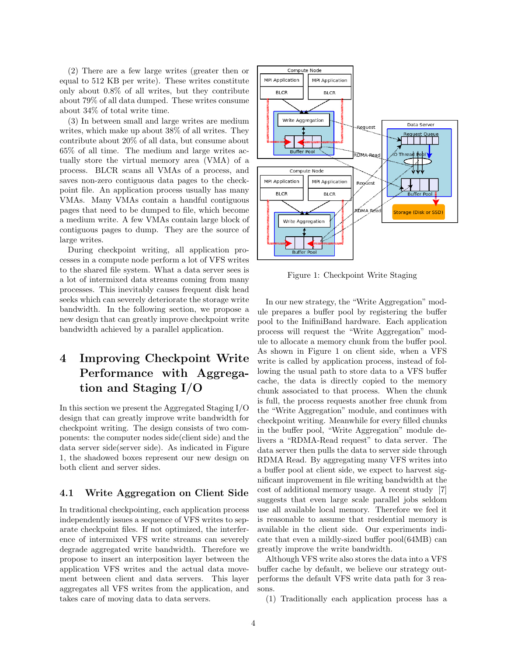(2) There are a few large writes (greater then or equal to 512 KB per write). These writes constitute only about 0.8% of all writes, but they contribute about 79% of all data dumped. These writes consume about 34% of total write time.

(3) In between small and large writes are medium writes, which make up about 38% of all writes. They contribute about 20% of all data, but consume about 65% of all time. The medium and large writes actually store the virtual memory area (VMA) of a process. BLCR scans all VMAs of a process, and saves non-zero contiguous data pages to the checkpoint file. An application process usually has many VMAs. Many VMAs contain a handful contiguous pages that need to be dumped to file, which become a medium write. A few VMAs contain large block of contiguous pages to dump. They are the source of large writes.

During checkpoint writing, all application processes in a compute node perform a lot of VFS writes to the shared file system. What a data server sees is a lot of intermixed data streams coming from many processes. This inevitably causes frequent disk head seeks which can severely deteriorate the storage write bandwidth. In the following section, we propose a new design that can greatly improve checkpoint write bandwidth achieved by a parallel application.

# 4 Improving Checkpoint Write Performance with Aggregation and Staging I/O

In this section we present the Aggregated Staging I/O design that can greatly improve write bandwidth for checkpoint writing. The design consists of two components: the computer nodes side(client side) and the data server side(server side). As indicated in Figure 1, the shadowed boxes represent our new design on both client and server sides.

#### 4.1 Write Aggregation on Client Side

In traditional checkpointing, each application process independently issues a sequence of VFS writes to separate checkpoint files. If not optimized, the interference of intermixed VFS write streams can severely degrade aggregated write bandwidth. Therefore we propose to insert an interposition layer between the application VFS writes and the actual data movement between client and data servers. This layer aggregates all VFS writes from the application, and takes care of moving data to data servers.



Figure 1: Checkpoint Write Staging

In our new strategy, the "Write Aggregation" module prepares a buffer pool by registering the buffer pool to the InifiniBand hardware. Each application process will request the "Write Aggregation" module to allocate a memory chunk from the buffer pool. As shown in Figure 1 on client side, when a VFS write is called by application process, instead of following the usual path to store data to a VFS buffer cache, the data is directly copied to the memory chunk associated to that process. When the chunk is full, the process requests another free chunk from the "Write Aggregation" module, and continues with checkpoint writing. Meanwhile for every filled chunks in the buffer pool, "Write Aggregation" module delivers a "RDMA-Read request" to data server. The data server then pulls the data to server side through RDMA Read. By aggregating many VFS writes into a buffer pool at client side, we expect to harvest significant improvement in file writing bandwidth at the cost of additional memory usage. A recent study [7] suggests that even large scale parallel jobs seldom use all available local memory. Therefore we feel it is reasonable to assume that residential memory is available in the client side. Our experiments indicate that even a mildly-sized buffer pool(64MB) can greatly improve the write bandwidth.

Although VFS write also stores the data into a VFS buffer cache by default, we believe our strategy outperforms the default VFS write data path for 3 reasons.

(1) Traditionally each application process has a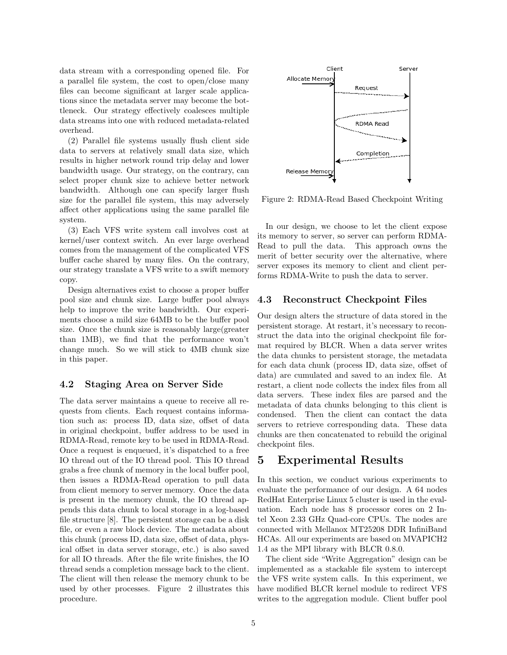data stream with a corresponding opened file. For a parallel file system, the cost to open/close many files can become significant at larger scale applications since the metadata server may become the bottleneck. Our strategy effectively coalesces multiple data streams into one with reduced metadata-related overhead.

(2) Parallel file systems usually flush client side data to servers at relatively small data size, which results in higher network round trip delay and lower bandwidth usage. Our strategy, on the contrary, can select proper chunk size to achieve better network bandwidth. Although one can specify larger flush size for the parallel file system, this may adversely affect other applications using the same parallel file system.

(3) Each VFS write system call involves cost at kernel/user context switch. An ever large overhead comes from the management of the complicated VFS buffer cache shared by many files. On the contrary, our strategy translate a VFS write to a swift memory copy.

Design alternatives exist to choose a proper buffer pool size and chunk size. Large buffer pool always help to improve the write bandwidth. Our experiments choose a mild size 64MB to be the buffer pool size. Once the chunk size is reasonably large(greater than 1MB), we find that the performance won't change much. So we will stick to 4MB chunk size in this paper.

#### 4.2 Staging Area on Server Side

The data server maintains a queue to receive all requests from clients. Each request contains information such as: process ID, data size, offset of data in original checkpoint, buffer address to be used in RDMA-Read, remote key to be used in RDMA-Read. Once a request is enqueued, it's dispatched to a free IO thread out of the IO thread pool. This IO thread grabs a free chunk of memory in the local buffer pool, then issues a RDMA-Read operation to pull data from client memory to server memory. Once the data is present in the memory chunk, the IO thread appends this data chunk to local storage in a log-based file structure [8]. The persistent storage can be a disk file, or even a raw block device. The metadata about this chunk (process ID, data size, offset of data, physical offset in data server storage, etc.) is also saved for all IO threads. After the file write finishes, the IO thread sends a completion message back to the client. The client will then release the memory chunk to be used by other processes. Figure 2 illustrates this procedure.



Figure 2: RDMA-Read Based Checkpoint Writing

In our design, we choose to let the client expose its memory to server, so server can perform RDMA-Read to pull the data. This approach owns the merit of better security over the alternative, where server exposes its memory to client and client performs RDMA-Write to push the data to server.

#### 4.3 Reconstruct Checkpoint Files

Our design alters the structure of data stored in the persistent storage. At restart, it's necessary to reconstruct the data into the original checkpoint file format required by BLCR. When a data server writes the data chunks to persistent storage, the metadata for each data chunk (process ID, data size, offset of data) are cumulated and saved to an index file. At restart, a client node collects the index files from all data servers. These index files are parsed and the metadata of data chunks belonging to this client is condensed. Then the client can contact the data servers to retrieve corresponding data. These data chunks are then concatenated to rebuild the original checkpoint files.

# 5 Experimental Results

In this section, we conduct various experiments to evaluate the performance of our design. A 64 nodes RedHat Enterprise Linux 5 cluster is used in the evaluation. Each node has 8 processor cores on 2 Intel Xeon 2.33 GHz Quad-core CPUs. The nodes are connected with Mellanox MT25208 DDR InfiniBand HCAs. All our experiments are based on MVAPICH2 1.4 as the MPI library with BLCR 0.8.0.

The client side "Write Aggregation" design can be implemented as a stackable file system to intercept the VFS write system calls. In this experiment, we have modified BLCR kernel module to redirect VFS writes to the aggregation module. Client buffer pool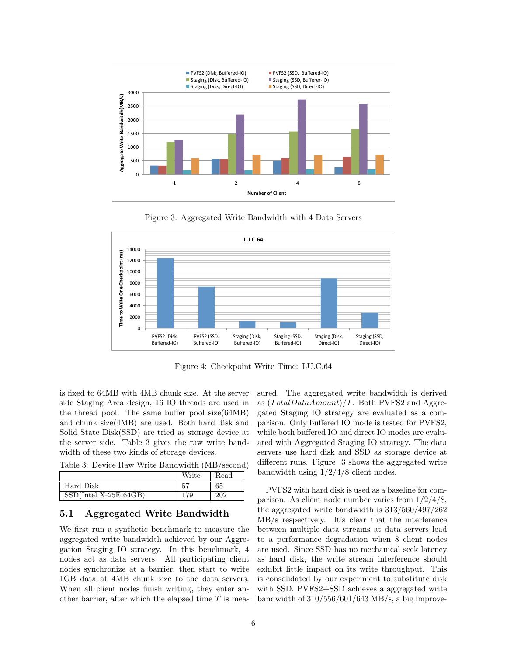

Figure 3: Aggregated Write Bandwidth with 4 Data Servers



Figure 4: Checkpoint Write Time: LU.C.64

is fixed to 64MB with 4MB chunk size. At the server side Staging Area design, 16 IO threads are used in the thread pool. The same buffer pool size(64MB) and chunk size(4MB) are used. Both hard disk and Solid State Disk(SSD) are tried as storage device at the server side. Table 3 gives the raw write bandwidth of these two kinds of storage devices.

Table 3: Device Raw Write Bandwidth (MB/second)

|                         | Write | Read |
|-------------------------|-------|------|
| Hard Disk               |       | 65   |
| $SSD(Intel X-25E 64GB)$ |       | ാറാ  |

#### 5.1 Aggregated Write Bandwidth

We first run a synthetic benchmark to measure the aggregated write bandwidth achieved by our Aggregation Staging IO strategy. In this benchmark, 4 nodes act as data servers. All participating client nodes synchronize at a barrier, then start to write 1GB data at 4MB chunk size to the data servers. When all client nodes finish writing, they enter another barrier, after which the elapsed time  $T$  is measured. The aggregated write bandwidth is derived as  $(TotalDataAmount)/T$ . Both PVFS2 and Aggregated Staging IO strategy are evaluated as a comparison. Only buffered IO mode is tested for PVFS2, while both buffered IO and direct IO modes are evaluated with Aggregated Staging IO strategy. The data servers use hard disk and SSD as storage device at different runs. Figure 3 shows the aggregated write bandwidth using 1/2/4/8 client nodes.

PVFS2 with hard disk is used as a baseline for comparison. As client node number varies from 1/2/4/8, the aggregated write bandwidth is 313/560/497/262 MB/s respectively. It's clear that the interference between multiple data streams at data servers lead to a performance degradation when 8 client nodes are used. Since SSD has no mechanical seek latency as hard disk, the write stream interference should exhibit little impact on its write throughput. This is consolidated by our experiment to substitute disk with SSD. PVFS2+SSD achieves a aggregated write bandwidth of  $310/556/601/643$  MB/s, a big improve-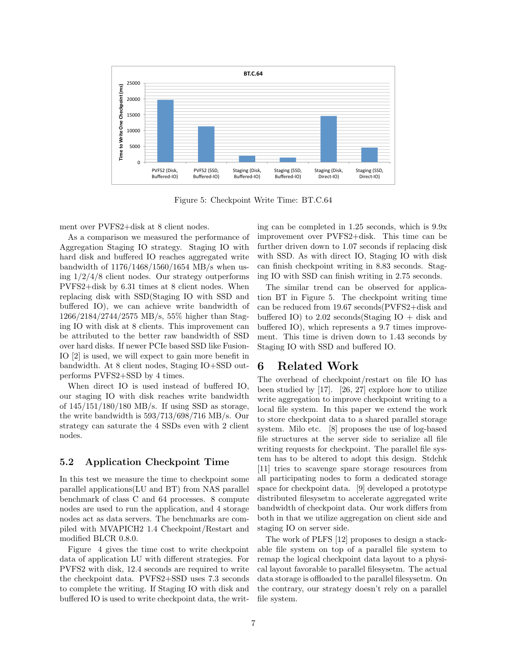

Figure 5: Checkpoint Write Time: BT.C.64

ment over PVFS2+disk at 8 client nodes.

As a comparison we measured the performance of Aggregation Staging IO strategy. Staging IO with hard disk and buffered IO reaches aggregated write bandwidth of 1176/1468/1560/1654 MB/s when using  $1/2/4/8$  client nodes. Our strategy outperforms PVFS2+disk by 6.31 times at 8 client nodes. When replacing disk with SSD(Staging IO with SSD and buffered IO), we can achieve write bandwidth of 1266/2184/2744/2575 MB/s, 55% higher than Staging IO with disk at 8 clients. This improvement can be attributed to the better raw bandwidth of SSD over hard disks. If newer PCIe based SSD like Fusion-IO [2] is used, we will expect to gain more benefit in bandwidth. At 8 client nodes, Staging IO+SSD outperforms PVFS2+SSD by 4 times.

When direct IO is used instead of buffered IO, our staging IO with disk reaches write bandwidth of  $145/151/180/180$  MB/s. If using SSD as storage, the write bandwidth is 593/713/698/716 MB/s. Our strategy can saturate the 4 SSDs even with 2 client nodes.

#### 5.2 Application Checkpoint Time

In this test we measure the time to checkpoint some parallel applications(LU and BT) from NAS parallel benchmark of class C and 64 processes. 8 compute nodes are used to run the application, and 4 storage nodes act as data servers. The benchmarks are compiled with MVAPICH2 1.4 Checkpoint/Restart and modified BLCR 0.8.0.

Figure 4 gives the time cost to write checkpoint data of application LU with different strategies. For PVFS2 with disk, 12.4 seconds are required to write the checkpoint data. PVFS2+SSD uses 7.3 seconds to complete the writing. If Staging IO with disk and buffered IO is used to write checkpoint data, the writing can be completed in 1.25 seconds, which is 9.9x improvement over PVFS2+disk. This time can be further driven down to 1.07 seconds if replacing disk with SSD. As with direct IO, Staging IO with disk can finish checkpoint writing in 8.83 seconds. Staging IO with SSD can finish writing in 2.75 seconds.

The similar trend can be observed for application BT in Figure 5. The checkpoint writing time can be reduced from 19.67 seconds(PVFS2+disk and buffered IO) to 2.02 seconds (Staging IO + disk and buffered IO), which represents a 9.7 times improvement. This time is driven down to 1.43 seconds by Staging IO with SSD and buffered IO.

## 6 Related Work

The overhead of checkpoint/restart on file IO has been studied by [17]. [26, 27] explore how to utilize write aggregation to improve checkpoint writing to a local file system. In this paper we extend the work to store checkpoint data to a shared parallel storage system. Milo etc. [8] proposes the use of log-based file structures at the server side to serialize all file writing requests for checkpoint. The parallel file system has to be altered to adopt this design. Stdchk [11] tries to scavenge spare storage resources from all participating nodes to form a dedicated storage space for checkpoint data. [9] developed a prototype distributed filesysetm to accelerate aggregated write bandwidth of checkpoint data. Our work differs from both in that we utilize aggregation on client side and staging IO on server side.

The work of PLFS [12] proposes to design a stackable file system on top of a parallel file system to remap the logical checkpoint data layout to a physical layout favorable to parallel filesysetm. The actual data storage is offloaded to the parallel filesysetm. On the contrary, our strategy doesn't rely on a parallel file system.